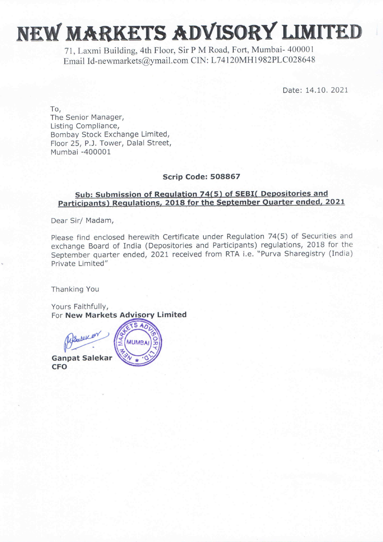## NEW MARKETS ADVISORY LIMITED

71, Laxmi Building, 4th Floor, Sir P M Road, Fort, Mumbai- 400001 Email Id-newmarkets@ymail.com CIN: L74120MH1982PLC028648

Date: 14.10. 2021

To, The Senior Manager, Listing Compliance, Bombay Stock Exchange Limited, Floor 25, P.J. Tower, Dalal Street, Mumbai -400001

#### Scrip Code: 508867

### Sub: Submission of Regulation 74(5) of SEBI( Depositories and Participants) Regulations, 2018 for the September Quarter ended, 2021

Dear Sir/ Madam,

Please find enclosed herewith Certificate under Regulation 74(5) of Securities and exchange Board of India (Depositories and Participants) regulations, 2018 for the September quarter ended, 2021 received from RTA i.e. "Purva Sharegistry (India) Private Limited"

Thanking You

Yours Faithfully, For New Markets Advisory Limited



When the Contract of the Contract of the Contract of the Contract of the Contract of the Contract of the Contract of the Contract of the Contract of the Contract of the Contract of the Contract of the Contract of the Contr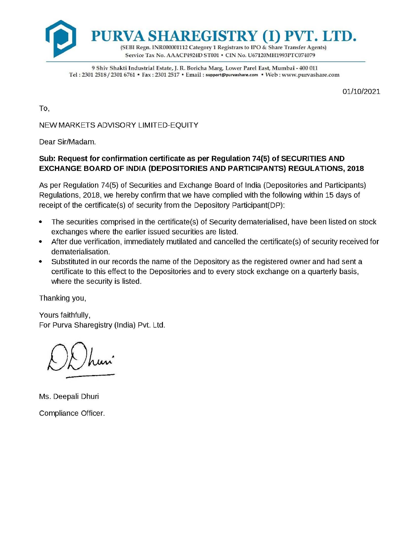

9 Shiv Shakti Industrial Estate, J. R. Boricha Marg, Lower Parel East, Mumbai - 400 011 Tel : 2301 2518 / 2301 6761 \* Fax : 2301 2517 \* Email : support@purvashare.com \* Web : www.purvashare.com

01/10/2021

To,

NEW MARKETS ADVISORY LIMITED-EQUITY

Dear Sir/Madam.

#### Sub: Request for confirmation certificate as per Regulation 74(5) of SECURITIES AND EXCHANGE BOARD OF INDIA (DEPOSITORIES AND PARTICIPANTS) REGULATIONS, 2018

As per Regulation 74(5) of Securities and Exchange Board of India (Depositories and Participants) Regulations, 2018, we hereby confirm that we have complied with the following within 15 days of receipt of the certificate(s) of security from the Depository Participant(DP):

- ¢ The securities comprised in the certificate(s) of Security dematerialised, have been listed on stock exchanges where the earlier issued securities are listed.
- e After due verification, immediately mutilated and cancelled the certificate(s) of security received for dematerialisation.
- ¢ Substituted in our records the name of the Depository as the registered owner and had sent a certificate to this effect to the Depositories and to every stock exchange on a quarterly basis, where the security is listed.

Thanking you,

Yours faithfully, For Purva Sharegistry (India) Pvt. Ltd.

 $\mathcal{L}$ 

Ms. Deepali Dhuri Compliance Officer.